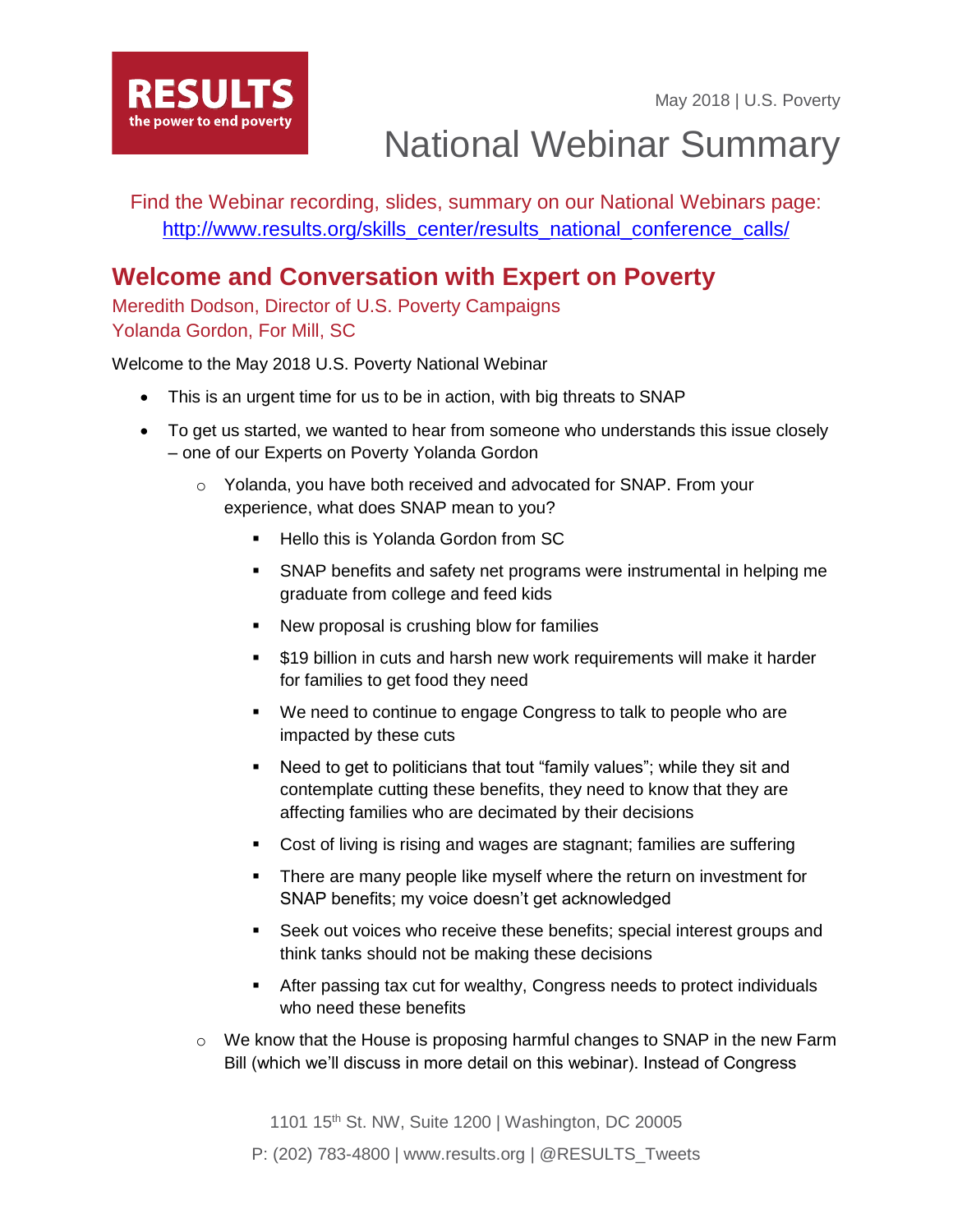May 2018 | U.S. Poverty



National Webinar Summary

Find the Webinar recording, slides, summary on our National Webinars page: [http://www.results.org/skills\\_center/results\\_national\\_conference\\_calls/](http://www.results.org/skills_center/results_national_conference_calls/)

## **Welcome and Conversation with Expert on Poverty**

Meredith Dodson, Director of U.S. Poverty Campaigns Yolanda Gordon, For Mill, SC

Welcome to the May 2018 U.S. Poverty National Webinar

- This is an urgent time for us to be in action, with big threats to SNAP
- To get us started, we wanted to hear from someone who understands this issue closely – one of our Experts on Poverty Yolanda Gordon
	- o Yolanda, you have both received and advocated for SNAP. From your experience, what does SNAP mean to you?
		- Hello this is Yolanda Gordon from SC
		- SNAP benefits and safety net programs were instrumental in helping me graduate from college and feed kids
		- New proposal is crushing blow for families
		- \$19 billion in cuts and harsh new work requirements will make it harder for families to get food they need
		- We need to continue to engage Congress to talk to people who are impacted by these cuts
		- Need to get to politicians that tout "family values"; while they sit and contemplate cutting these benefits, they need to know that they are affecting families who are decimated by their decisions
		- Cost of living is rising and wages are stagnant; families are suffering
		- **•** There are many people like myself where the return on investment for SNAP benefits; my voice doesn't get acknowledged
		- Seek out voices who receive these benefits; special interest groups and think tanks should not be making these decisions
		- After passing tax cut for wealthy, Congress needs to protect individuals who need these benefits
	- o We know that the House is proposing harmful changes to SNAP in the new Farm Bill (which we'll discuss in more detail on this webinar). Instead of Congress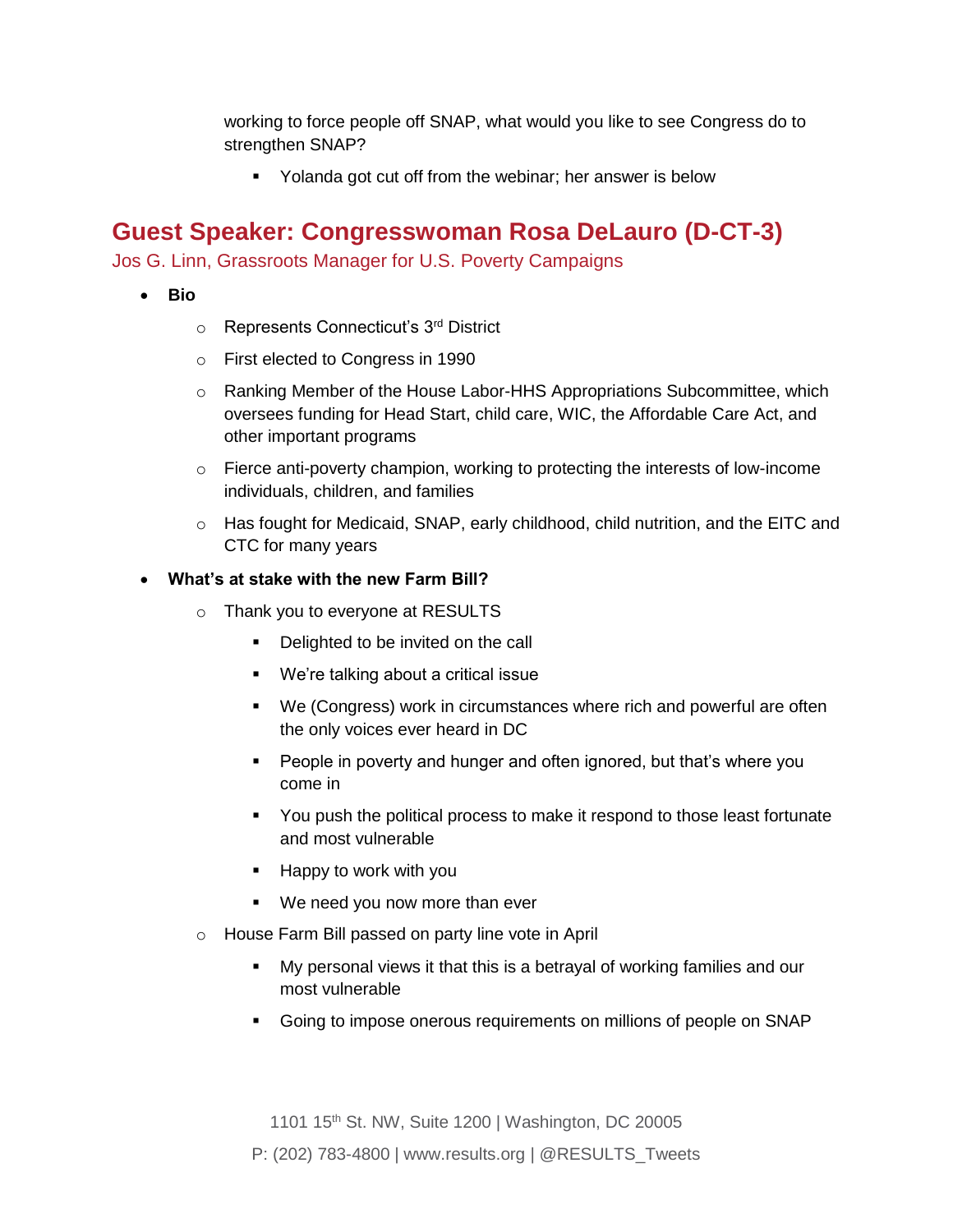working to force people off SNAP, what would you like to see Congress do to strengthen SNAP?

■ Yolanda got cut off from the webinar; her answer is below

## **Guest Speaker: Congresswoman Rosa DeLauro (D-CT-3)**

Jos G. Linn, Grassroots Manager for U.S. Poverty Campaigns

- **Bio**
	- o Represents Connecticut's 3rd District
	- o First elected to Congress in 1990
	- o Ranking Member of the House Labor-HHS Appropriations Subcommittee, which oversees funding for Head Start, child care, WIC, the Affordable Care Act, and other important programs
	- $\circ$  Fierce anti-poverty champion, working to protecting the interests of low-income individuals, children, and families
	- $\circ$  Has fought for Medicaid, SNAP, early childhood, child nutrition, and the EITC and CTC for many years

#### • **What's at stake with the new Farm Bill?**

- o Thank you to everyone at RESULTS
	- Delighted to be invited on the call
	- We're talking about a critical issue
	- We (Congress) work in circumstances where rich and powerful are often the only voices ever heard in DC
	- People in poverty and hunger and often ignored, but that's where you come in
	- You push the political process to make it respond to those least fortunate and most vulnerable
	- Happy to work with you
	- We need you now more than ever
- o House Farm Bill passed on party line vote in April
	- My personal views it that this is a betrayal of working families and our most vulnerable
	- Going to impose onerous requirements on millions of people on SNAP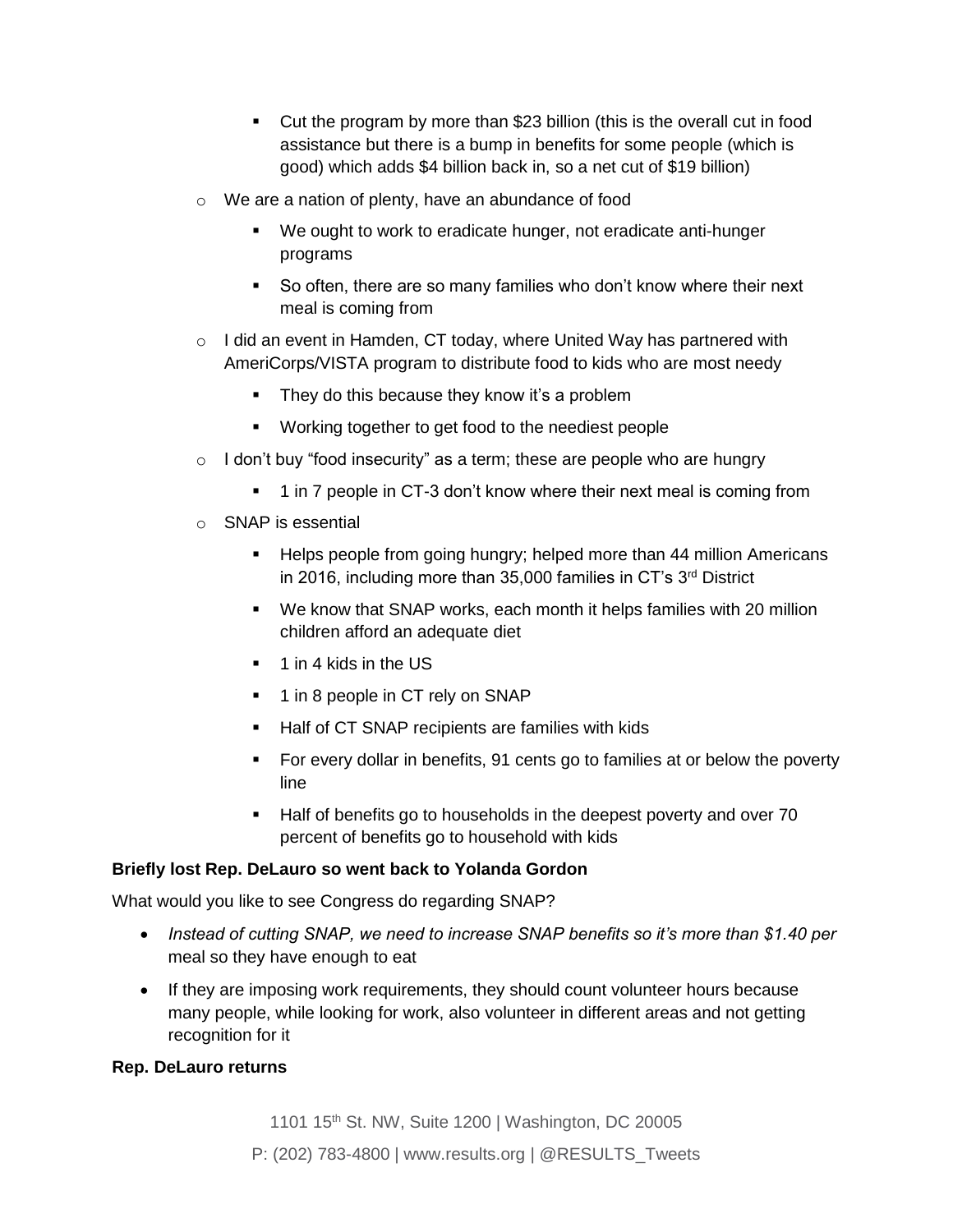- Cut the program by more than \$23 billion (this is the overall cut in food assistance but there is a bump in benefits for some people (which is good) which adds \$4 billion back in, so a net cut of \$19 billion)
- o We are a nation of plenty, have an abundance of food
	- We ought to work to eradicate hunger, not eradicate anti-hunger programs
	- So often, there are so many families who don't know where their next meal is coming from
- $\circ$  I did an event in Hamden, CT today, where United Way has partnered with AmeriCorps/VISTA program to distribute food to kids who are most needy
	- **•** They do this because they know it's a problem
	- Working together to get food to the neediest people
- $\circ$  I don't buy "food insecurity" as a term; these are people who are hungry
	- 1 in 7 people in CT-3 don't know where their next meal is coming from
- o SNAP is essential
	- Helps people from going hungry; helped more than 44 million Americans in 2016, including more than 35,000 families in CT's 3<sup>rd</sup> District
	- We know that SNAP works, each month it helps families with 20 million children afford an adequate diet
	- 1 in 4 kids in the US
	- 1 in 8 people in CT rely on SNAP
	- Half of CT SNAP recipients are families with kids
	- For every dollar in benefits, 91 cents go to families at or below the poverty line
	- Half of benefits go to households in the deepest poverty and over 70 percent of benefits go to household with kids

*Briefly lost Rep. DeLauro so went back to Yolanda Gordon*

*What would you like to see Congress do regarding SNAP?*

- *Instead of cutting SNAP, we need to increase SNAP benefits so it's more than \$1.40 per meal so they have enough to eat*
- *If they are imposing work requirements, they should count volunteer hours because many people, while looking for work, also volunteer in different areas and not getting recognition for it*

*Rep. DeLauro returns*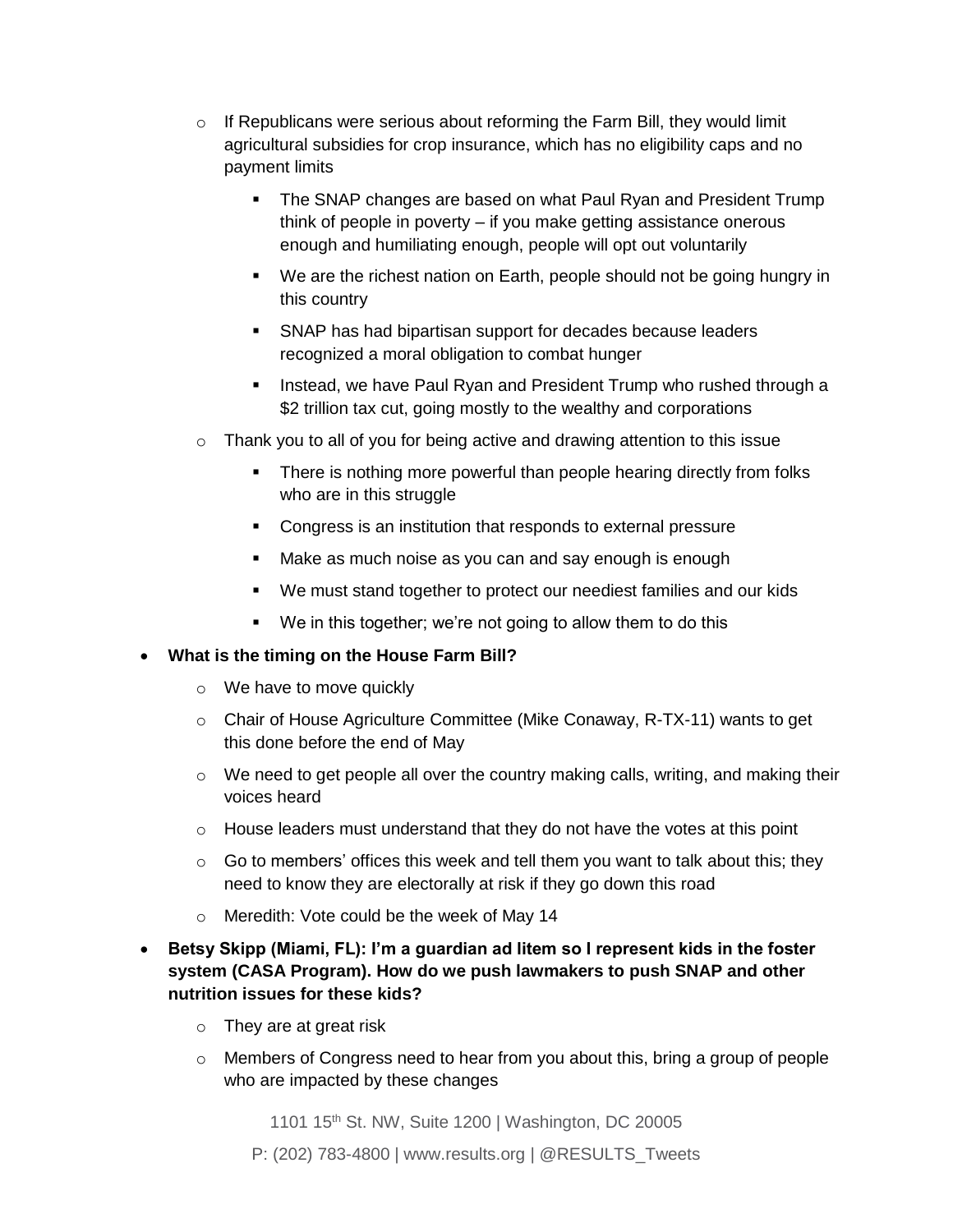- $\circ$  If Republicans were serious about reforming the Farm Bill, they would limit agricultural subsidies for crop insurance, which has no eligibility caps and no payment limits
	- The SNAP changes are based on what Paul Ryan and President Trump think of people in poverty – if you make getting assistance onerous enough and humiliating enough, people will opt out voluntarily
	- We are the richest nation on Earth, people should not be going hungry in this country
	- SNAP has had bipartisan support for decades because leaders recognized a moral obligation to combat hunger
	- **EXEDENT Instead, we have Paul Ryan and President Trump who rushed through a** \$2 trillion tax cut, going mostly to the wealthy and corporations
- o Thank you to all of you for being active and drawing attention to this issue
	- There is nothing more powerful than people hearing directly from folks who are in this struggle
	- Congress is an institution that responds to external pressure
	- Make as much noise as you can and say enough is enough
	- We must stand together to protect our neediest families and our kids
	- We in this together; we're not going to allow them to do this

### • **What is the timing on the House Farm Bill?**

- o We have to move quickly
- $\circ$  Chair of House Agriculture Committee (Mike Conaway, R-TX-11) wants to get this done before the end of May
- $\circ$  We need to get people all over the country making calls, writing, and making their voices heard
- o House leaders must understand that they do not have the votes at this point
- $\circ$  Go to members' offices this week and tell them you want to talk about this; they need to know they are electorally at risk if they go down this road
- o Meredith: Vote could be the week of May 14
- **Betsy Skipp (Miami, FL): I'm a guardian ad litem so I represent kids in the foster system (CASA Program). How do we push lawmakers to push SNAP and other nutrition issues for these kids?**
	- o They are at great risk
	- $\circ$  Members of Congress need to hear from you about this, bring a group of people who are impacted by these changes

1101 15<sup>th</sup> St. NW, Suite 1200 | Washington, DC 20005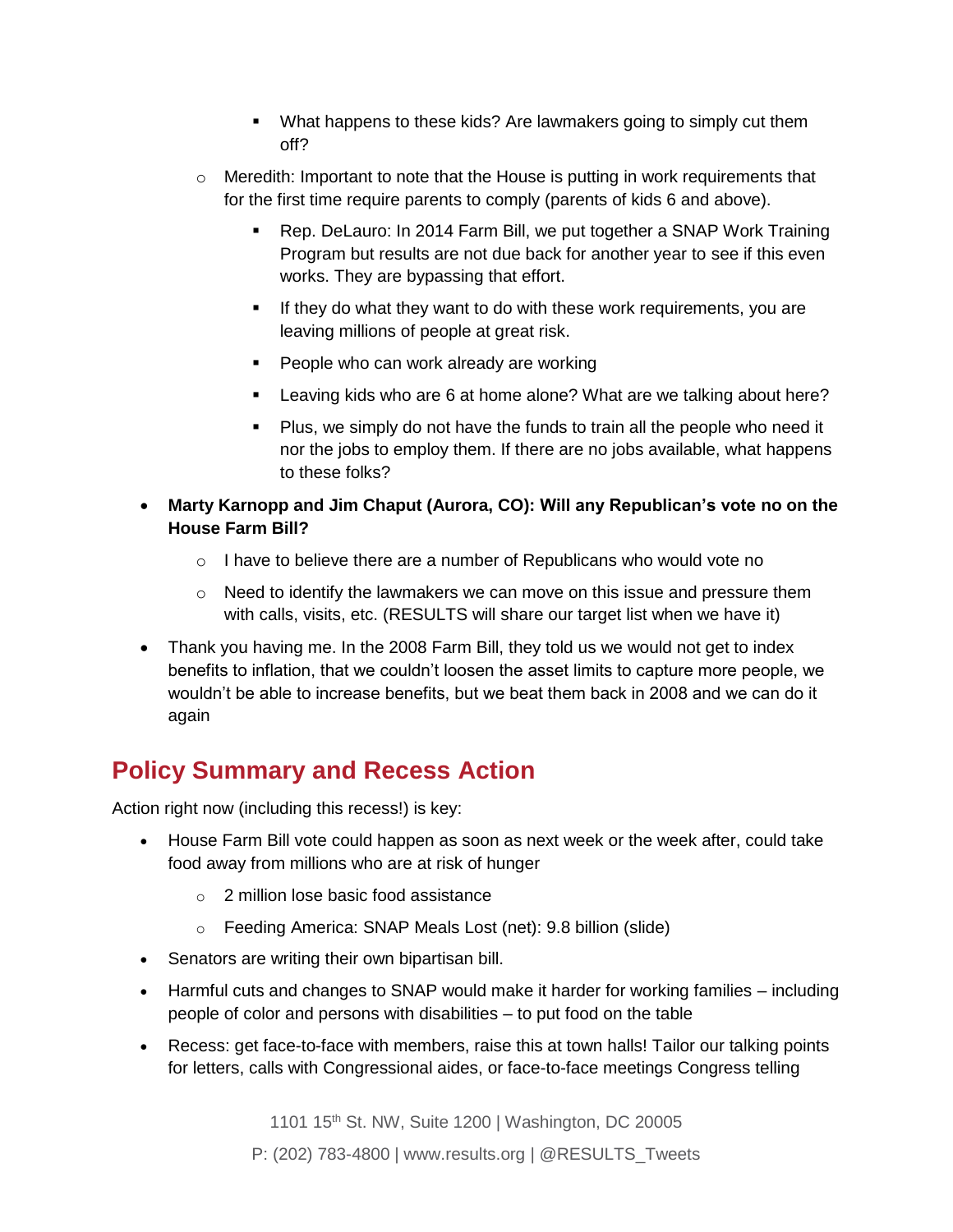- **•** What happens to these kids? Are lawmakers going to simply cut them off?
- $\circ$  Meredith: Important to note that the House is putting in work requirements that for the first time require parents to comply (parents of kids 6 and above).
	- Rep. DeLauro: In 2014 Farm Bill, we put together a SNAP Work Training Program but results are not due back for another year to see if this even works. They are bypassing that effort.
	- **.** If they do what they want to do with these work requirements, you are leaving millions of people at great risk.
	- People who can work already are working
	- Leaving kids who are 6 at home alone? What are we talking about here?
	- Plus, we simply do not have the funds to train all the people who need it nor the jobs to employ them. If there are no jobs available, what happens to these folks?
- **Marty Karnopp and Jim Chaput (Aurora, CO): Will any Republican's vote no on the House Farm Bill?**
	- o I have to believe there are a number of Republicans who would vote no
	- $\circ$  Need to identify the lawmakers we can move on this issue and pressure them with calls, visits, etc. (RESULTS will share our target list when we have it)
- Thank you having me. In the 2008 Farm Bill, they told us we would not get to index benefits to inflation, that we couldn't loosen the asset limits to capture more people, we wouldn't be able to increase benefits, but we beat them back in 2008 and we can do it again

# **Policy Summary and Recess Action**

Action right now (including this recess!) is key:

- House Farm Bill vote could happen as soon as next week or the week after, could take food away from millions who are at risk of hunger
	- o 2 million lose basic food assistance
	- o Feeding America: SNAP Meals Lost (net): 9.8 billion (slide)
- Senators are writing their own bipartisan bill.
- Harmful cuts and changes to SNAP would make it harder for working families including people of color and persons with disabilities – to put food on the table
- Recess: get face-to-face with members, raise this at town halls! Tailor our talking points for letters, calls with Congressional aides, or face-to-face meetings Congress telling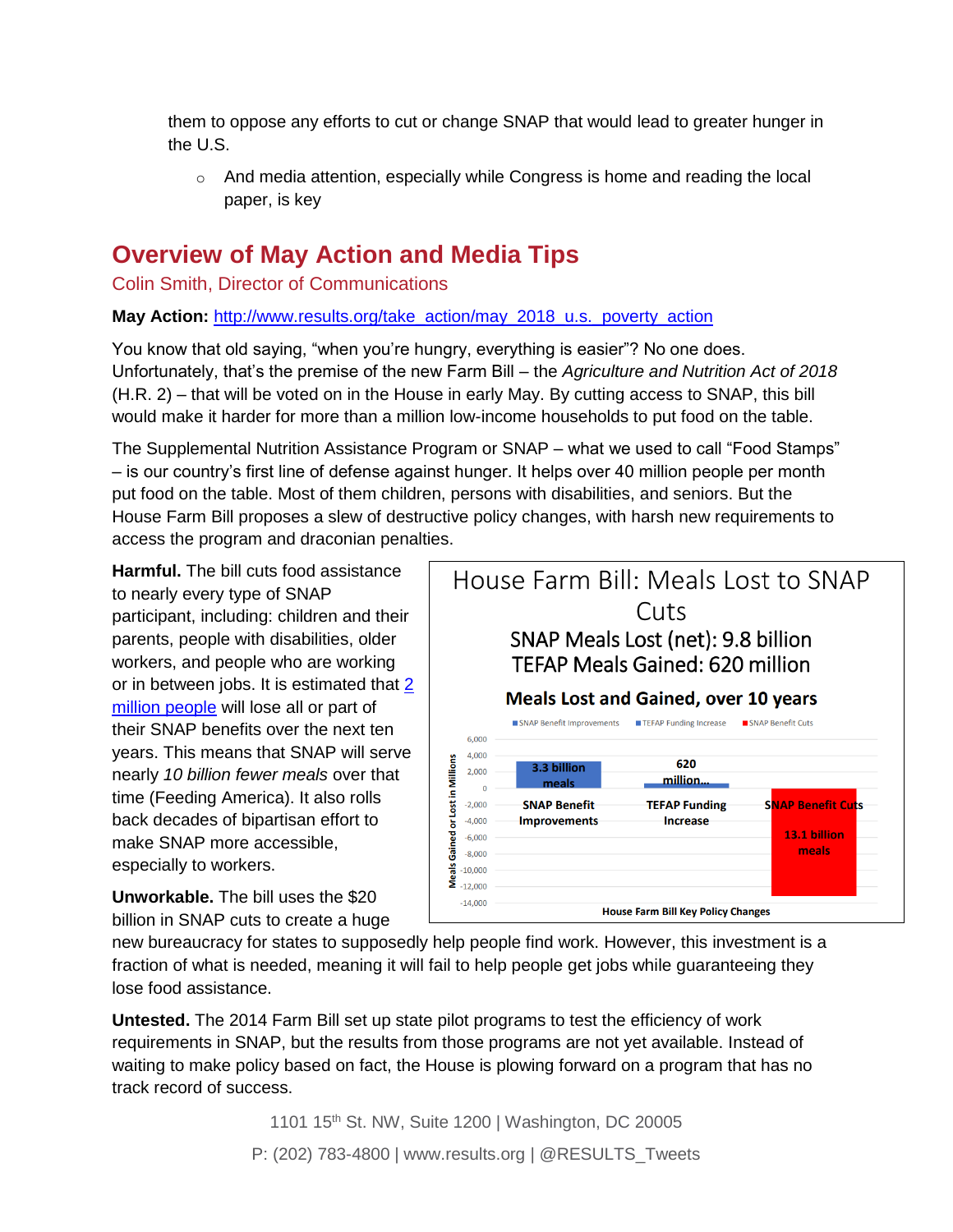them to oppose any efforts to cut or change SNAP that would lead to greater hunger in the U.S.

 $\circ$  And media attention, especially while Congress is home and reading the local paper, is key

## **Overview of May Action and Media Tips**

Colin Smith, Director of Communications

**May Action:** [http://www.results.org/take\\_action/may\\_2018\\_u.s.\\_poverty\\_action](http://www.results.org/take_action/may_2018_u.s._poverty_action)

You know that old saying, "when you're hungry, everything is easier"? No one does. Unfortunately, that's the premise of the new Farm Bill – the *Agriculture and Nutrition Act of 2018*  (H.R. 2) – that will be voted on in the House in early May. By cutting access to SNAP, this bill would make it harder for more than a million low-income households to put food on the table.

The Supplemental Nutrition Assistance Program or SNAP – what we used to call "Food Stamps" – is our country's first line of defense against hunger. It helps over 40 million people per month put food on the table. Most of them children, persons with disabilities, and seniors. But the House Farm Bill proposes a slew of destructive policy changes, with harsh new requirements to access the program and draconian penalties.

**Harmful.** The bill cuts food assistance to nearly every type of SNAP participant, including: children and their parents, people with disabilities, older workers, and people who are working or in between jobs. It is estimated that  $2$ [million people](https://www.cbpp.org/research/food-assistance/chairman-conaways-farm-bill-would-increase-food-insecurity-and-hardship) will lose all or part of their SNAP benefits over the next ten years. This means that SNAP will serve nearly *10 billion fewer meals* over that time (Feeding America). It also rolls back decades of bipartisan effort to make SNAP more accessible, especially to workers.

**Unworkable.** The bill uses the \$20 billion in SNAP cuts to create a huge



new bureaucracy for states to supposedly help people find work. However, this investment is a fraction of what is needed, meaning it will fail to help people get jobs while guaranteeing they lose food assistance.

**Untested.** The 2014 Farm Bill set up state pilot programs to test the efficiency of work requirements in SNAP, but the results from those programs are not yet available. Instead of waiting to make policy based on fact, the House is plowing forward on a program that has no track record of success.

> 1101 15<sup>th</sup> St. NW, Suite 1200 | Washington, DC 20005 P: (202) 783-4800 | www.results.org | @RESULTS\_Tweets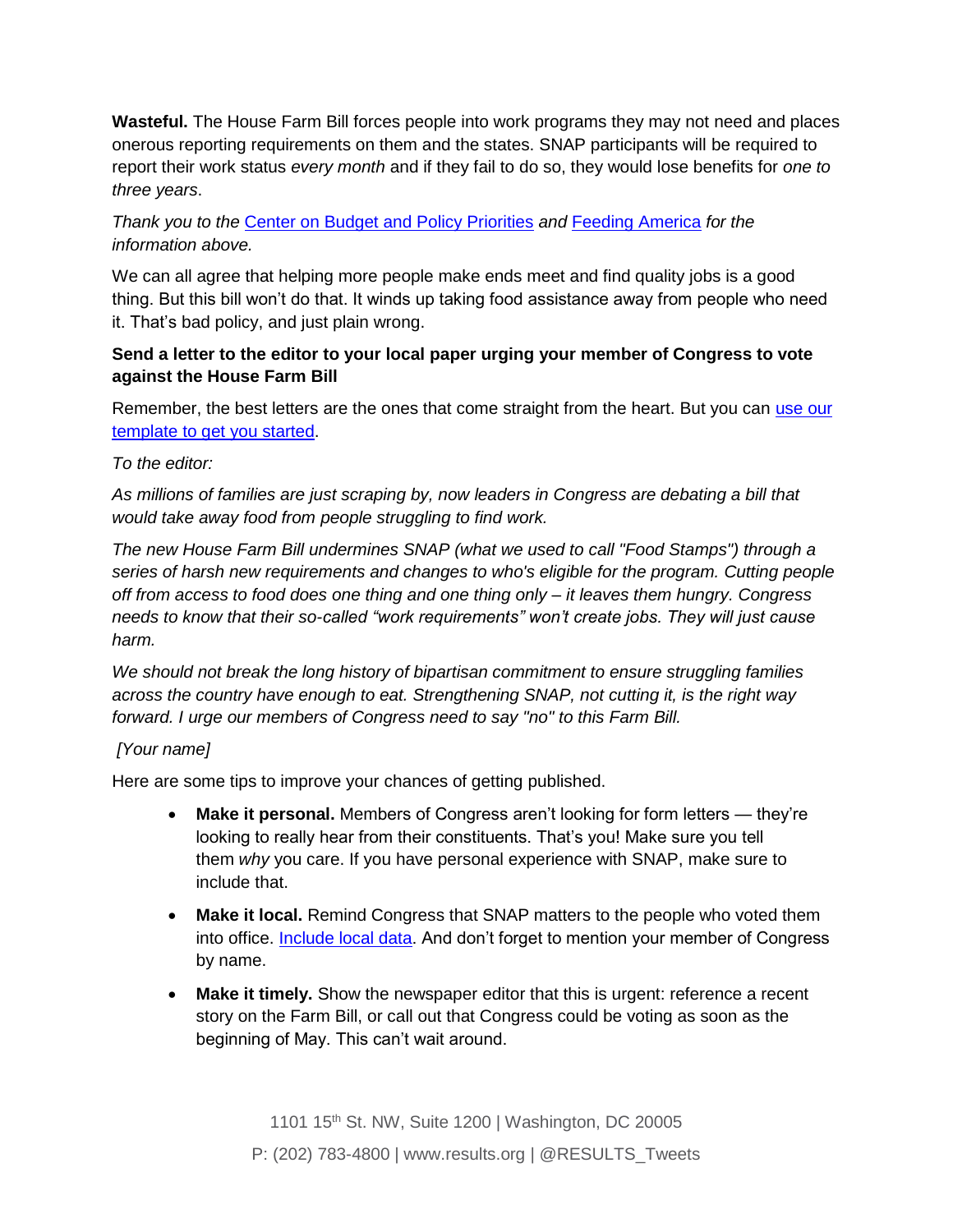**Wasteful.** The House Farm Bill forces people into work programs they may not need and places onerous reporting requirements on them and the states. SNAP participants will be required to report their work status *every month* and if they fail to do so, they would lose benefits for *one to three years*.

*Thank you to the* [Center on Budget and Policy Priorities](http://www.cbpp.org/) *and* [Feeding America](http://www.feedingamerica.org/) *for the information above.*

We can all agree that helping more people make ends meet and find quality jobs is a good thing. But this bill won't do that. It winds up taking food assistance away from people who need it. That's bad policy, and just plain wrong.

### **Send a letter to the editor to your local paper urging your member of Congress to vote against the House Farm Bill**

Remember, the best letters are the ones that come straight from the heart. But you can use our [template to get you started.](http://www.results.org/take-action/action-center?vvsrc=%2fcampaigns%2f54070%2frespond)

### *To the editor:*

*As millions of families are just scraping by, now leaders in Congress are debating a bill that would take away food from people struggling to find work.*

*The new House Farm Bill undermines SNAP (what we used to call "Food Stamps") through a series of harsh new requirements and changes to who's eligible for the program. Cutting people off from access to food does one thing and one thing only – it leaves them hungry. Congress needs to know that their so-called "work requirements" won't create jobs. They will just cause harm.* 

*We should not break the long history of bipartisan commitment to ensure struggling families across the country have enough to eat. Strengthening SNAP, not cutting it, is the right way forward. I urge our members of Congress need to say "no" to this Farm Bill.*

### *[Your name]*

Here are some tips to improve your chances of getting published.

- **Make it personal.** Members of Congress aren't looking for form letters they're looking to really hear from their constituents. That's you! Make sure you tell them *why* you care. If you have personal experience with SNAP, make sure to include that.
- **Make it local.** Remind Congress that SNAP matters to the people who voted them into office. **Include local data**. And don't forget to mention your member of Congress by name.
- **Make it timely.** Show the newspaper editor that this is urgent: reference a recent story on the Farm Bill, or call out that Congress could be voting as soon as the beginning of May. This can't wait around.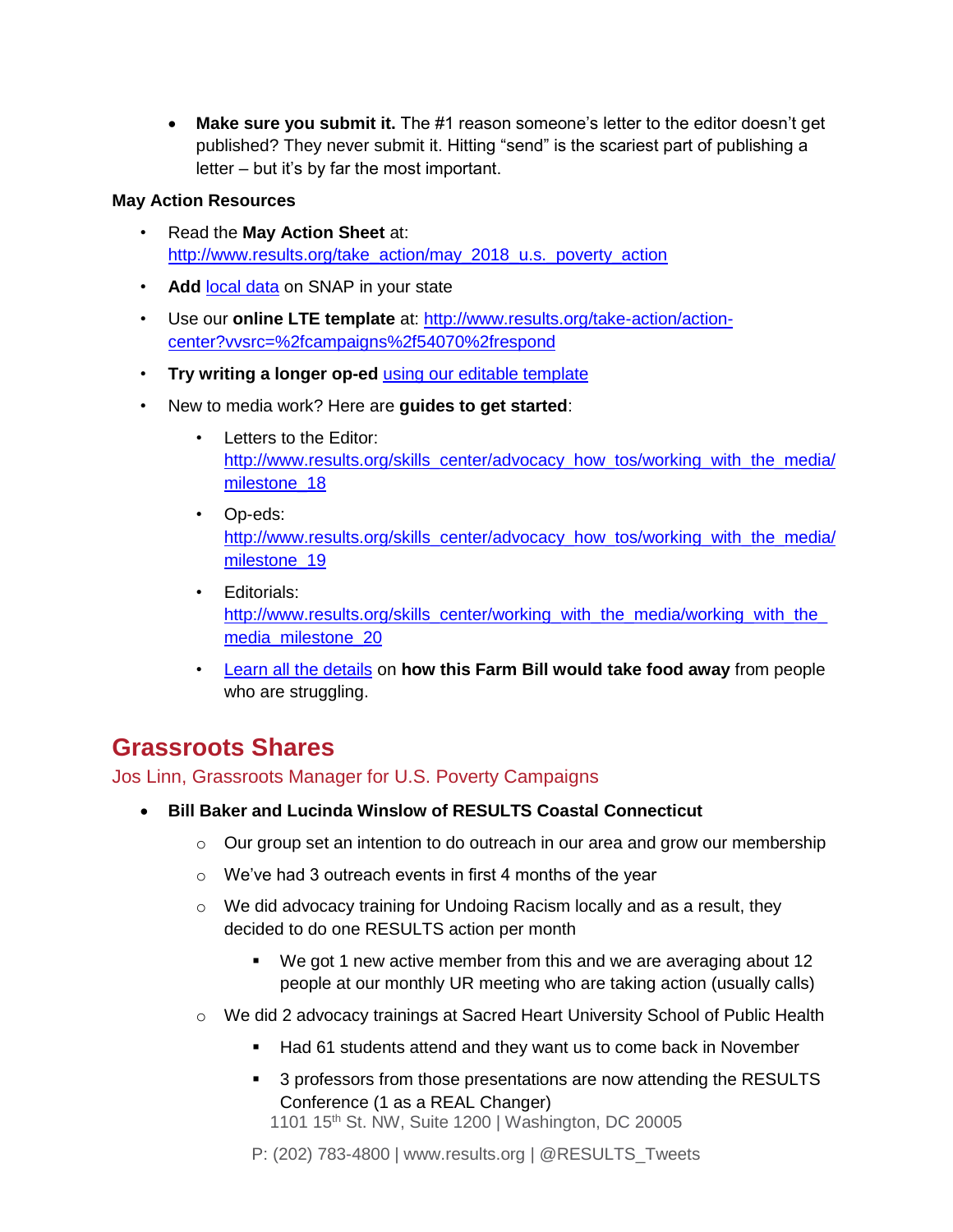• **Make sure you submit it.** The #1 reason someone's letter to the editor doesn't get published? They never submit it. Hitting "send" is the scariest part of publishing a letter – but it's by far the most important.

#### **May Action Resources**

- Read the **May Action Sheet** at: [http://www.results.org/take\\_action/may\\_2018\\_u.s.\\_poverty\\_action](http://www.results.org/take_action/may_2018_u.s._poverty_action)
- **Add** [local data](https://www.cbpp.org/research/a-closer-look-at-who-benefits-from-snap-state-by-state-fact-sheets) on SNAP in your state
- Use our **online LTE template** at: [http://www.results.org/take-action/action](http://www.results.org/take-action/action-center?vvsrc=/campaigns/54070/respond)[center?vvsrc=%2fcampaigns%2f54070%2frespond](http://www.results.org/take-action/action-center?vvsrc=/campaigns/54070/respond)
- **Try writing a longer op-ed** [using our editable template](http://www.results.org/uploads/files/SNAP_op-ed_template_April_2018.docx)
- New to media work? Here are **guides to get started**:
	- Letters to the Editor: [http://www.results.org/skills\\_center/advocacy\\_how\\_tos/working\\_with\\_the\\_media/](http://www.results.org/skills_center/advocacy_how_tos/working_with_the_media/milestone_18) milestone 18
	- Op-eds: [http://www.results.org/skills\\_center/advocacy\\_how\\_tos/working\\_with\\_the\\_media/](http://www.results.org/skills_center/advocacy_how_tos/working_with_the_media/milestone_19) milestone 19
	- Editorials: [http://www.results.org/skills\\_center/working\\_with\\_the\\_media/working\\_with\\_the\\_](http://www.results.org/skills_center/working_with_the_media/working_with_the_media_milestone_20) [media\\_milestone\\_20](http://www.results.org/skills_center/working_with_the_media/working_with_the_media_milestone_20)
	- [Learn all the details](http://www.frac.org/action/snap-farm-bill) on **how this Farm Bill would take food away** from people who are struggling.

## **Grassroots Shares**

Jos Linn, Grassroots Manager for U.S. Poverty Campaigns

- **Bill Baker and Lucinda Winslow of RESULTS Coastal Connecticut**
	- $\circ$  Our group set an intention to do outreach in our area and grow our membership
	- $\circ$  We've had 3 outreach events in first 4 months of the year
	- o We did advocacy training for Undoing Racism locally and as a result, they decided to do one RESULTS action per month
		- We got 1 new active member from this and we are averaging about 12 people at our monthly UR meeting who are taking action (usually calls)
	- o We did 2 advocacy trainings at Sacred Heart University School of Public Health
		- Had 61 students attend and they want us to come back in November
		- 3 professors from those presentations are now attending the RESULTS Conference (1 as a REAL Changer)

1101 15th St. NW, Suite 1200 | Washington, DC 20005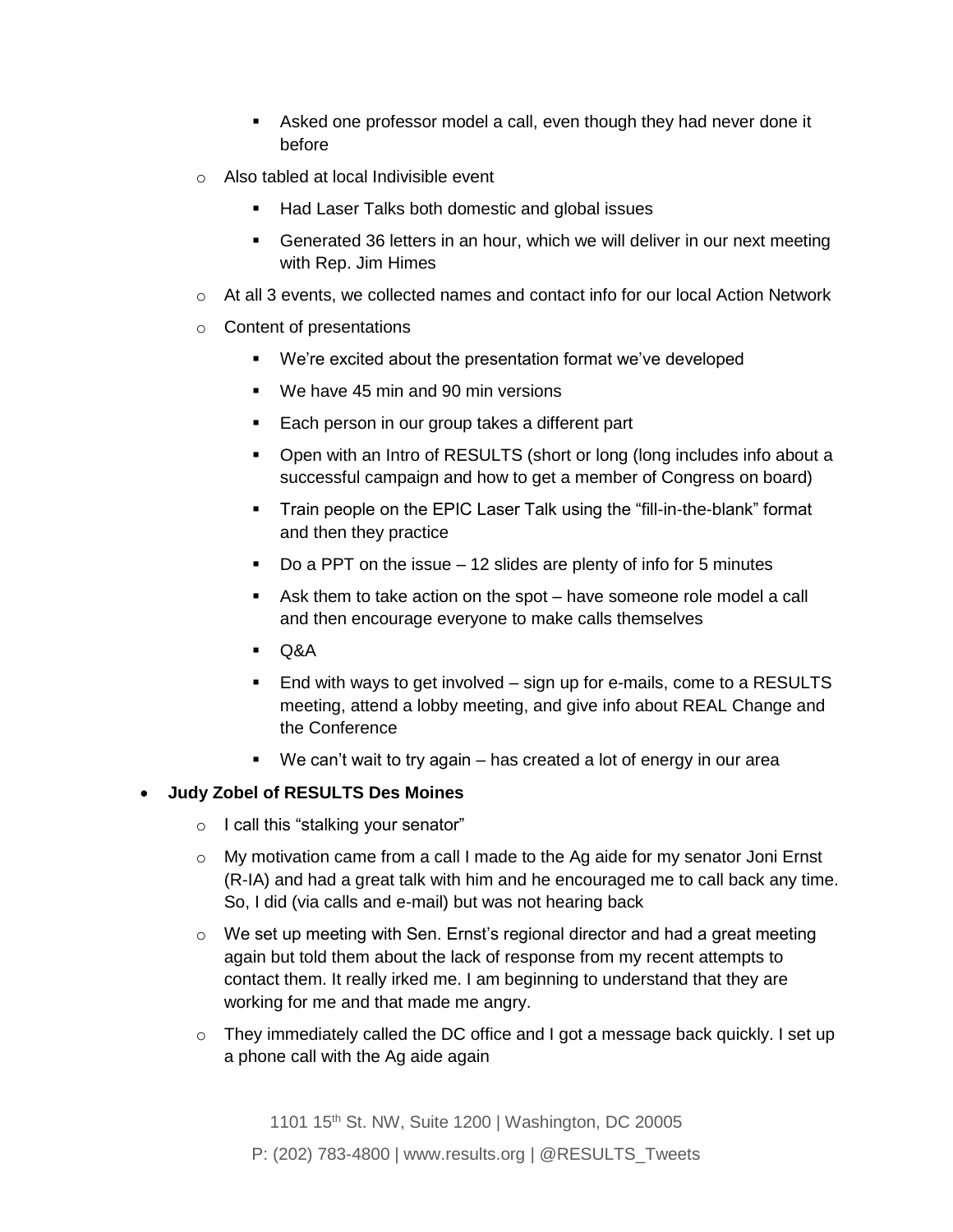- **EXEL** Asked one professor model a call, even though they had never done it before
- o Also tabled at local Indivisible event
	- Had Laser Talks both domestic and global issues
	- Generated 36 letters in an hour, which we will deliver in our next meeting with Rep. Jim Himes
- $\circ$  At all 3 events, we collected names and contact info for our local Action Network
- o Content of presentations
	- We're excited about the presentation format we've developed
	- We have 45 min and 90 min versions
	- Each person in our group takes a different part
	- Open with an Intro of RESULTS (short or long (long includes info about a successful campaign and how to get a member of Congress on board)
	- **•** Train people on the EPIC Laser Talk using the "fill-in-the-blank" format and then they practice
	- Do a PPT on the issue  $-12$  slides are plenty of info for 5 minutes
	- Ask them to take action on the spot have someone role model a call and then encourage everyone to make calls themselves
	- Q&A
	- End with ways to get involved sign up for e-mails, come to a RESULTS meeting, attend a lobby meeting, and give info about REAL Change and the Conference
	- We can't wait to try again has created a lot of energy in our area

#### • **Judy Zobel of RESULTS Des Moines**

- o I call this "stalking your senator"
- $\circ$  My motivation came from a call I made to the Ag aide for my senator Joni Ernst (R-IA) and had a great talk with him and he encouraged me to call back any time. So, I did (via calls and e-mail) but was not hearing back
- $\circ$  We set up meeting with Sen. Ernst's regional director and had a great meeting again but told them about the lack of response from my recent attempts to contact them. It really irked me. I am beginning to understand that they are working for me and that made me angry.
- $\circ$  They immediately called the DC office and I got a message back quickly. I set up a phone call with the Ag aide again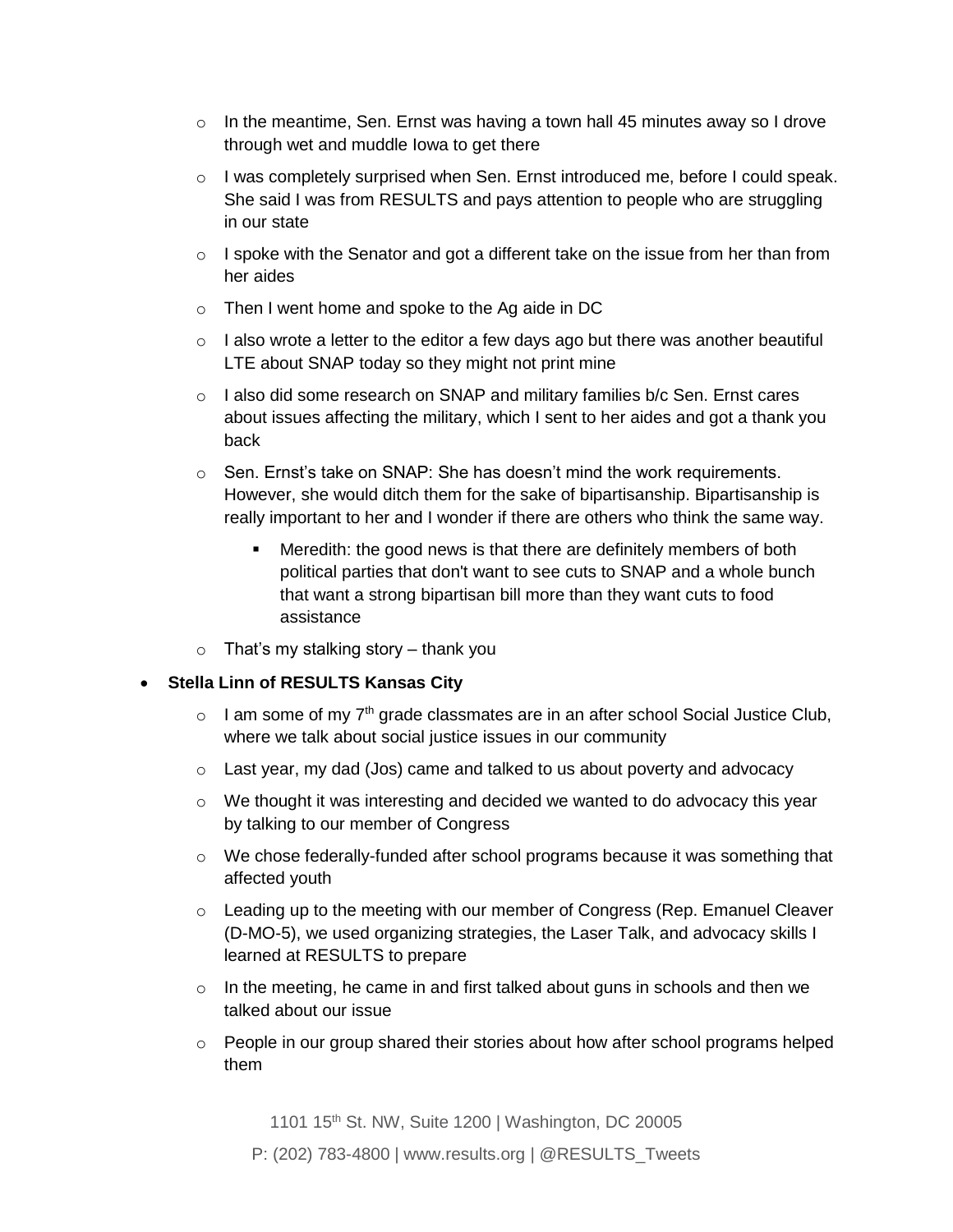- $\circ$  In the meantime, Sen. Ernst was having a town hall 45 minutes away so I drove through wet and muddle Iowa to get there
- o I was completely surprised when Sen. Ernst introduced *me*, before I could speak. She said I was from RESULTS and pays attention to people who are struggling in our state
- $\circ$  I spoke with the Senator and got a different take on the issue from her than from her aides
- o Then I went home and spoke to the Ag aide in DC
- $\circ$  I also wrote a letter to the editor a few days ago but there was another beautiful LTE about SNAP today so they might not print mine
- $\circ$  I also did some research on SNAP and military families b/c Sen. Ernst cares about issues affecting the military, which I sent to her aides and got a thank you back
- $\circ$  Sen. Ernst's take on SNAP: She has doesn't mind the work requirements. However, she would ditch them for the sake of bipartisanship. Bipartisanship is really important to her and I wonder if there are others who think the same way.
	- Meredith: the good news is that there are definitely members of both political parties that don't want to see cuts to SNAP and a whole bunch that want a strong bipartisan bill more than they want cuts to food assistance
- $\circ$  That's my stalking story thank you

#### • **Stella Linn of RESULTS Kansas City**

- $\circ$  I am some of my 7<sup>th</sup> grade classmates are in an after school Social Justice Club, where we talk about social justice issues in our community
- o Last year, my dad (Jos) came and talked to us about poverty and advocacy
- $\circ$  We thought it was interesting and decided we wanted to do advocacy this year by talking to our member of Congress
- $\circ$  We chose federally-funded after school programs because it was something that affected youth
- $\circ$  Leading up to the meeting with our member of Congress (Rep. Emanuel Cleaver (D-MO-5), we used organizing strategies, the Laser Talk, and advocacy skills I learned at RESULTS to prepare
- $\circ$  In the meeting, he came in and first talked about guns in schools and then we talked about our issue
- $\circ$  People in our group shared their stories about how after school programs helped them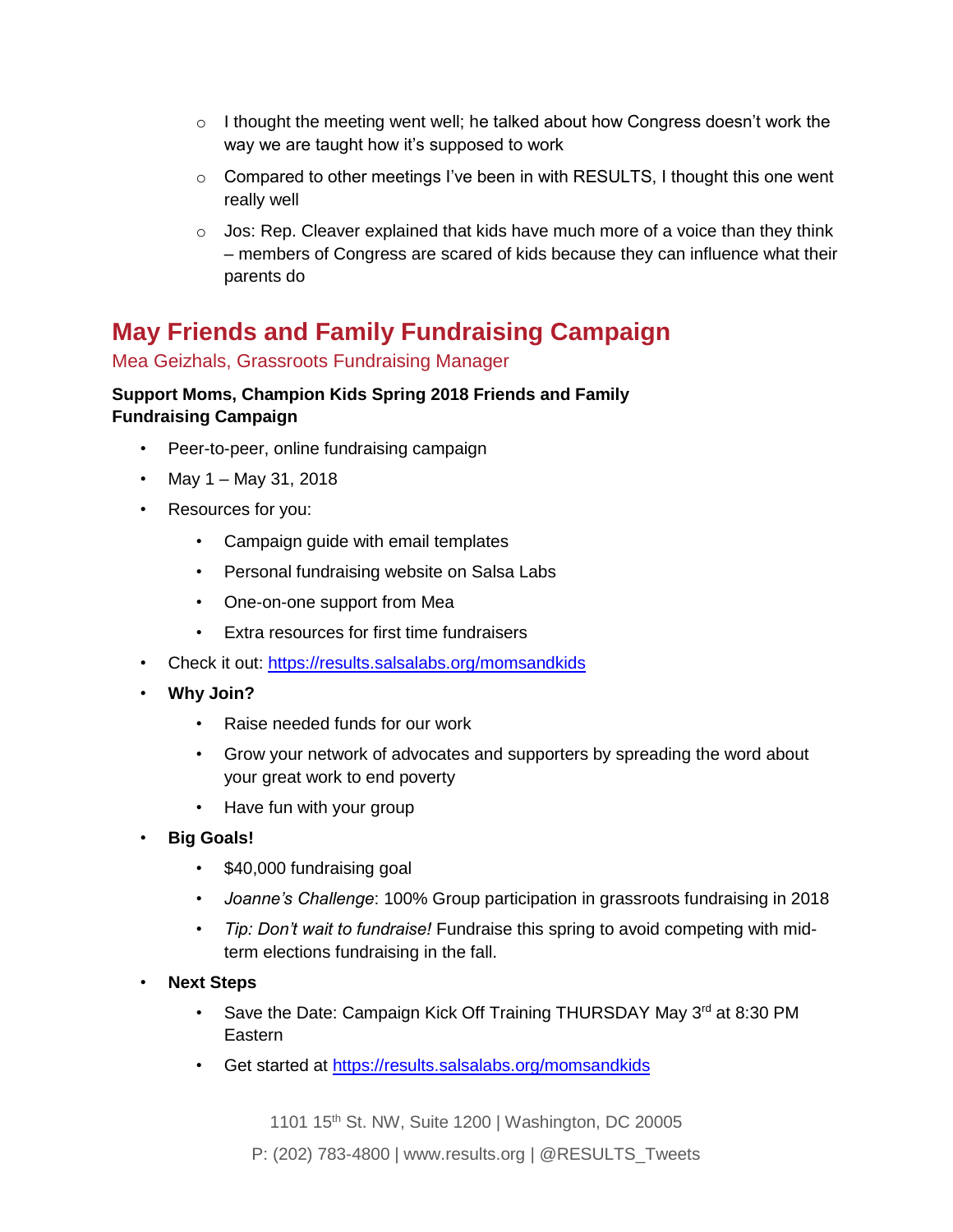- $\circ$  I thought the meeting went well; he talked about how Congress doesn't work the way we are taught how it's supposed to work
- $\circ$  Compared to other meetings I've been in with RESULTS, I thought this one went really well
- $\circ$  Jos: Rep. Cleaver explained that kids have much more of a voice than they think – members of Congress are scared of kids because they can influence what their parents do

## **May Friends and Family Fundraising Campaign**

### Mea Geizhals, Grassroots Fundraising Manager

### *Support Moms, Champion Kids* **Spring 2018 Friends and Family Fundraising Campaign**

- Peer-to-peer, online fundraising campaign
- May 1 May 31, 2018
- Resources for you:
	- Campaign guide with email templates
	- Personal fundraising website on Salsa Labs
	- One-on-one support from Mea
	- *Extra resources for first time fundraisers*
- Check it out:<https://results.salsalabs.org/momsandkids>
- **Why Join?**
	- Raise needed funds for our work
	- Grow your network of advocates and supporters by spreading the word about your great work to end poverty
	- Have fun with your group
- **Big Goals!**
	- \$40,000 fundraising goal
	- *Joanne's Challenge*: 100% Group participation in grassroots fundraising in 2018
	- *Tip: Don't wait to fundraise!* Fundraise this spring to avoid competing with midterm elections fundraising in the fall.
- **Next Steps**
	- Save the Date: Campaign Kick Off Training THURSDAY May 3<sup>rd</sup> at 8:30 PM **Eastern**
	- Get started at<https://results.salsalabs.org/momsandkids>

1101 15<sup>th</sup> St. NW, Suite 1200 | Washington, DC 20005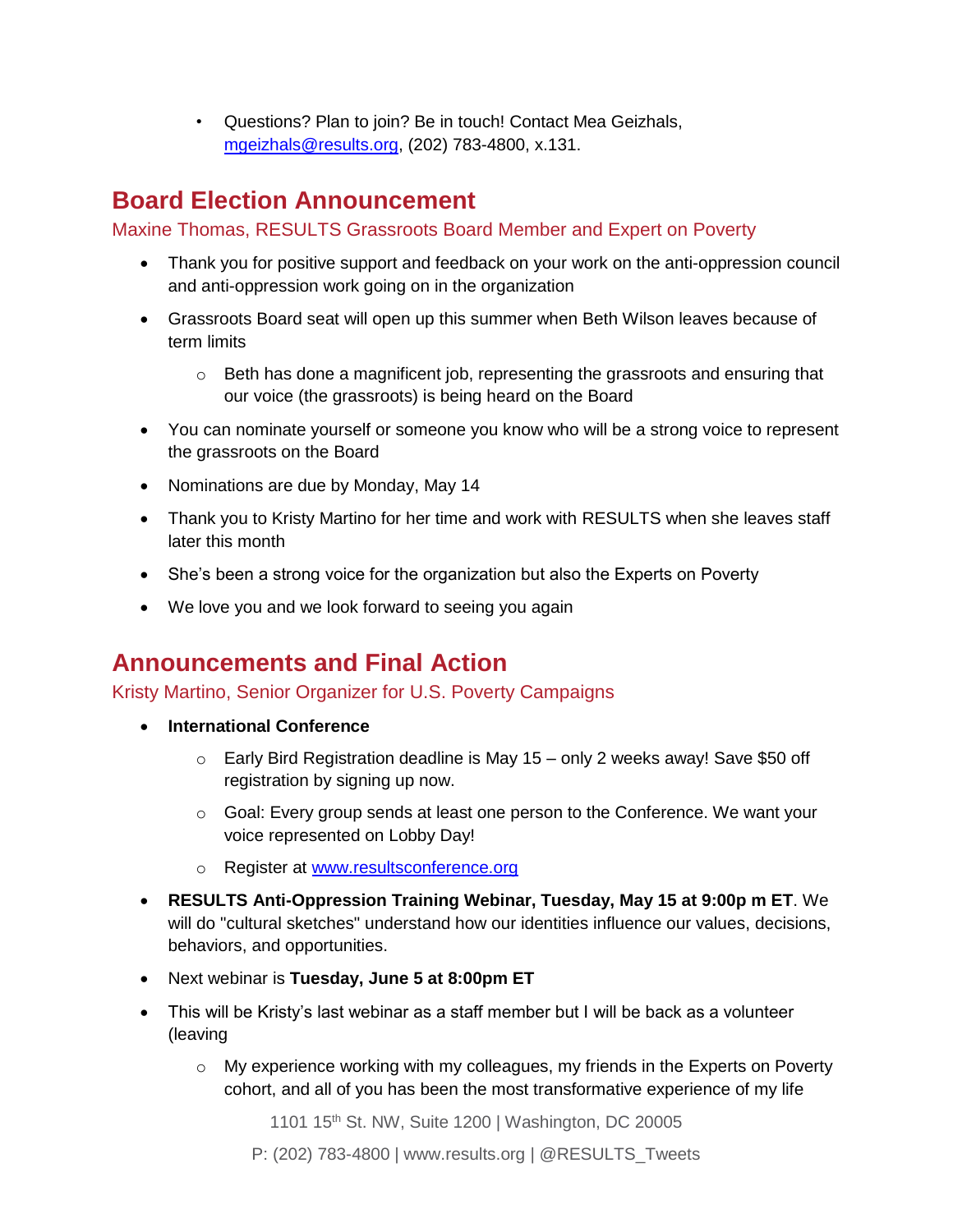• Questions? Plan to join? Be in touch! Contact Mea Geizhals, [mgeizhals@results.org,](mailto:mgeizhals@results.org) (202) 783-4800, x.131.

## **Board Election Announcement**

Maxine Thomas, RESULTS Grassroots Board Member and Expert on Poverty

- Thank you for positive support and feedback on your work on the anti-oppression council and anti-oppression work going on in the organization
- Grassroots Board seat will open up this summer when Beth Wilson leaves because of term limits
	- $\circ$  Beth has done a magnificent job, representing the grassroots and ensuring that our voice (the grassroots) is being heard on the Board
- You can nominate yourself or someone you know who will be a strong voice to represent the grassroots on the Board
- Nominations are due by Monday, May 14
- Thank you to Kristy Martino for her time and work with RESULTS when she leaves staff later this month
- She's been a strong voice for the organization but also the Experts on Poverty
- We love you and we look forward to seeing you again

### **Announcements and Final Action**

Kristy Martino, Senior Organizer for U.S. Poverty Campaigns

- **International Conference**
	- $\circ$  Early Bird Registration deadline is May 15 only 2 weeks away! Save \$50 off registration by signing up now.
	- o Goal: Every group sends at least one person to the Conference. We want your voice represented on Lobby Day!
	- o Register at [www.resultsconference.org](http://www.resultsconference.org/)
- **RESULTS Anti-Oppression Training Webinar, Tuesday, May 15 at 9:00p m ET**. We will do "cultural sketches" understand how our identities influence our values, decisions, behaviors, and opportunities.
- Next webinar is **Tuesday, June 5 at 8:00pm ET**
- This will be Kristy's last webinar as a staff member but I will be back as a volunteer (leaving
	- $\circ$  My experience working with my colleagues, my friends in the Experts on Poverty cohort, and all of you has been the most transformative experience of my life

1101 15<sup>th</sup> St. NW, Suite 1200 | Washington, DC 20005